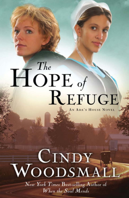# The CPE of REFUGE

# CINDY T

New York Times Best-selling Author of When the Soul Mends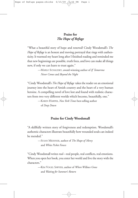### **Praise for** *The Hope of Refuge*

"What a beautiful story of hope and renewal! Cindy Woodsmall's *The Hope of Refuge* is an honest and moving portrayal that rings with authenticity. It warmed my heart long after I finished reading and reminded me that new beginnings are possible, truth frees, and love can make all things new, if only we can learn to trust again."

> —MARLO SCHALESKY, award-winning author of *If Tomorrow Never Comes* and *Beyond the Night*

"Cindy Woodsmall's *The Hope of Refuge* takes the reader on an emotional journey into the heart of Amish country and the heart of a very human heroine. A compelling novel of love lost and found with realistic characters from two very different worlds which become, beautifully, one."

> —KAREN HARPER, *New York Times* best-selling author of *Deep Down*

### **Praise for Cindy Woodsmall**

"A skillfully written story of forgiveness and redemption. Woodsmall's authentic characters illustrate beautifully how wounded souls can indeed be mended."

> —SUSAN MEISSNER, author of *The Shape of Mercy* and *White Picket Fences*

"Cindy Woodsmall writes *real*—real people, real conflicts, real emotions. When you open her book, you enter her world and live the story with the characters."

> —KIM VOGEL SAWYER, author of *Where Willows Grow* and *Waiting for Summer's Return*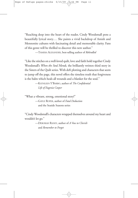"Reaching deep into the heart of the reader, Cindy Woodsmall pens a beautifully lyrical story.… She paints a vivid backdrop of Amish and Mennonite cultures with fascinating detail and memorable clarity. Fans of this genre will be thrilled to discover this new author."

—TAMERA ALEXANDER, best-selling author of *Rekindled*

"Like the stitches on a well-loved quilt, love and faith hold together Cindy Woodsmall's *When the Soul Mends,* the brilliantly written third story in the Sisters of the Quilt series. With deft plotting and characters that seem to jump off the page, this novel offers the timeless truth that forgiveness is the balm which heals all wounds and a blanket for the soul."

> —KATHLEEN Y'BARBO, author of *The Confidential Life of Eugenia Cooper*

"What a vibrant, strong, emotional story!"

—GAYLE ROPER, author of *Fatal Deduction* and the Seaside Seasons series

"Cindy Woodsmall's characters wrapped themselves around my heart and wouldn't let go."

> —DEBORAH RANEY, author of *A Vow to Cherish* and *Remember to Forget*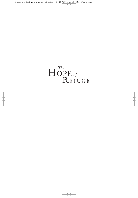*The* HOPE *of* REFUGE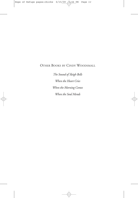### OTHER BOOKS BY CINDY WOODSMALL

*The Sound of Sleigh Bells When the Heart Cries When the Morning Comes When the Soul Mends*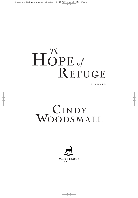# *The* HOPE *of* REFUGE

**A N O V E L**

## CINDY WOODSMALL

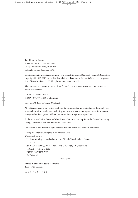THE HOPE OF REFUGE PUBLISHED BY WATERBROOK PRESS 12265 Oracle Boulevard, Suite 200 Colorado Springs, Colorado 80921

Scripture quotations are taken from the Holy Bible: International Standard Version® Release 2.0. Copyright © 1996-2009 by the ISV Foundation of Paramount, California USA. Used by permission of Davidson Press, LLC. All rights reserved internationally.

The characters and events in this book are fictional, and any resemblance to actual persons or events is coincidental.

ISBN 978-1-4000-7396-2 ISBN 978-0-307-45834-6 (electronic)

Copyright © 2009 by Cindy Woodsmall

All rights reserved. No part of this book may be reproduced or transmitted in any form or by any means, electronic or mechanical, including photocopying and recording, or by any information storage and retrieval system, without permission in writing from the publisher.

Published in the United States by WaterBrook Multnomah, an imprint of the Crown Publishing Group, a division of Random House Inc., New York.

WATERBROOK and its deer colophon are registered trademarks of Random House Inc.

Library of Congress Cataloging-in-Publication Data Woodsmall, Cindy. The hope of refuge : an Ada's house novel / Cindy Woodsmall. — 1st ed. p. cm. ISBN 978-1-4000-7396-2 — ISBN 978-0-307-45834-6 (electronic) 1. Amish—Fiction. I. Title. PS3623.O678H67 2009 813'.6—dc22

2009015969

Printed in the United States of America 2009—First Edition

10 9 8 7 6 5 4 3 2 1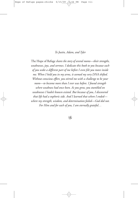### *To Justin, Adam, and Tyler*

The Hope of Refuge *shares the story of several moms—their strengths, weaknesses, joys, and sorrows. I dedicate this book to you because each of you woke a different part of me before I even felt you move inside me. When I held you in my arms, it seemed my very DNA shifted. Without conscious effort, you stirred me with a challenge to be your mom—to become more than I ever was before. I found strength where weakness had once been. As you grew, you stumbled on weaknesses I hadn't known existed. But because of you, I discovered that life had a euphoric side. And I learned that where I ended where my strength, wisdom, and determination failed—God did not. For Him and for each of you, I am eternally grateful…*

 $\vee$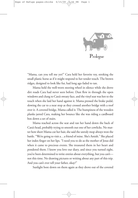

Prologue

"Mama, can you tell me yet?" Cara held her favorite toy, stroking the small plastic horse as if it might respond to her tender touch.The brown ridges, designed to look like fur, had long ago faded to tan.

Mama held the well-worn steering wheel in silence while she drove dirt roads Cara had never seen before. Dust flew in through the open windows and clung to Cara's sweaty face, and the vinyl seat was hot to the touch when she laid her hand against it. Mama pressed the brake pedal, slowing the car to a near stop as they crossed another bridge with a roof over it. A covered bridge, Mama called it.The bumpiness of the wooden planks jarred Cara, making her bounce like she was riding a cardboard box down a set of stairs.

Mama reached across the seat and ran her hand down the back of Cara's head, probably trying to smooth out one of her cowlicks. No matter how short Mama cut her hair, shesaid the unruly mop always won the battle. "We're going to visit a…a friend of mine. She's Amish." She placed her index finger on her lips. "I need you to do as the mother of Jesus did when it came to precious events. She treasured them in her heart and pondered them. I know you love our diary, and since you turned eight, you've been determined to write entries about everything, but you can't not this time. No drawing pictures or writing about any part of this trip. And you can't ever tell your father, okay?"

Sunlight bore down on them again as they drove out of the covered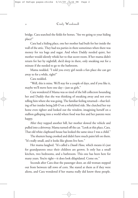bridge. Cara searched the fields for horses. "Are we going to your hiding place?"

Cara had a hiding place, one her mother had built for her inside the wall of the attic. They had tea parties in there sometimes when there was money for tea bags and sugar. And when Daddy needed quiet, her mother would silently whisk her to that secret room. If her mama didn't return for her by nightfall, she'd sleep in there, only sneaking out for a minute if she needed to go to the bathroom.

Mama nodded. "I told you every girl needs a fun place she can get away to for a while, right?"

Cara nodded.

"Well, this is mine. We'll stay for a couple of days, and if you like it, maybe we'll move here one day—just us girls."

Cara wondered if Mama was so tired of the bill collectors hounding her and Daddy that she was thinking of sneaking away and not even telling him where she was going. The familiar feeling returned—that feeling of her insides being Jell-O on a whirlybird ride. She clutched her toy horse even tighter and looked out the window, imagining herself on a stallion galloping into a world where food was free and her parents were happy.

After they topped another hill, her mother slowed the vehicle and pulled into a driveway. Mama turned off the car. "Look at this place, Cara. That old white clapboard house has looked the same since I was a child."

The shutters hung crooked and didn't have much paint left on them. "It's really small, and it looks like ghosts live here."

Her mama laughed. "It's called a *Daadi Haus,* which means it's just for grandparents once their children are grown. It only has a small kitchen, two bedrooms, and a bathroom. This one has been here for many years. You're right—it does look dilapidated. Come on."

Seconds after Cara shut the passenger door, an old woman stepped out from between tall rows of corn. She stared at them as if they were aliens, and Cara wondered if her mama really did know these people.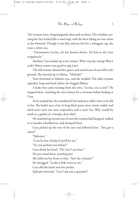The woman wore a long burgundy dress and no shoes.The wrinkles covering her face looked like a road map, with the lines taking on new twists as she frowned. Though it was July and too hot for a toboggan cap, she wore a white one.

*"Grossmammi Levina, ich bin kumme bsuche. Ich hab aa die Cara mitgebrocht."*

Startled, Cara looked up at her mama. What was she saying? Was it code? Mama wasn't even good at pig Latin.

The old woman released her apron, and several ears of corn fell to the ground. She hurried up to Mama. "Malinda?"

Tears brimmed in Mama's eyes, and she nodded. The older woman squealed, long and loud, before she hugged Mama.

A lanky boy came running from the rows. "Levina, *was iss letz*?" He stopped short, watching the two women for a moment before looking at Cara.

As hestudied her, she wondered if shelooked as odd to him as he did to her. She hadn't seen a boy in long black pants since winter ended, and she'd never seen one wear suspenders and a straw hat. Why would he work in a garden in a Sunday dress shirt?

He snatched up several ears of corn the woman had dropped, walked to a wooden wheelbarrow, and dumped them.

Cara picked up the rest of the ears and followed him. "You got a name?"

"Ephraim."

"I can be lots of help if you'll let me."

"Ya ever picked corn before?"

Cara shook her head. "No, but I can learn."

He just stood there, watching her.

She held out her horse to him. "Isn't she a beauty?"

He shrugged. "Looks a little worn to me."

Cara slid the horse into her pocket.

Ephraim frowned. "Can I ask you a question?"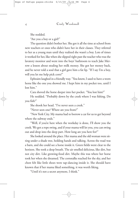She nodded. "Are you a boy or a girl?"

The question didn't bother her. She got it all the time at school from new teachers or ones who didn't have her in their classes. They referred to her as a young man until they realized she wasn't a boy. Lots of times it worked for her, like when she slipped right past the teacher who was the lavatory monitor and went into the boys' bathroom to teach Jake Merrow a lesson about stealing her milk money. She got her money back, and he never told a soul that a girl gave him a fat lip. "If I say I'm a boy, will you let me help pick corn?"

Ephraim laughed in a friendly way. "You know, I used to have a worn horse like the one you showed me. I kept him in my pocket too, until I lost him."

Cara shoved the horse deeper into her pocket. "You lost him?"

He nodded. "Probably down by the creek where I was fishing. Do you fish?"

She shook her head. "I've never seen a creek."

"Never seen one? Where are you from?"

"New York City. My mama had to borrow a car for us to get beyond where the subway ends."

"Well, if you're here when the workday is done, I'll show you the creek. We got a rope swing, and if your mama will let you, you can swing out and drop into the deep part. How long are you here for?"

She looked around the place. Her mama and the old woman were sitting under a shade tree, holding hands and talking. Across the road was a barn, and she could see a horse inside it. Green fields went clear to the horizon. She took a deep breath. The air smelled delicious, like dirt, but not city dirt. Like growing-food dirt. Maybe this was where her horse took her when she dreamed. The cornstalks reached for the sky, and her chest felt like little shoes were tap-dancing inside it. She should have known that if her mama liked something, it was worth liking.

"Until it's not a secret anymore, I think."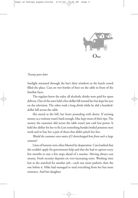

### *Twenty years later*

Sunlight streamed through the bar's dirty windows as the lunch crowd filled the place. Cara set two bottles of beer on the table in front of the familiar faces.

The regulars knew the rules: all alcoholic drinks were paid for upon delivery. One of the men held a five-dollar bill toward her but kept his eyes on the television. The other took a long drink while he slid a hundreddollar bill across the table.

She stared at the bill, her heart pounding with desire. If earning money as a waitress wasn't hard enough, Mac kept most of their tips.The money the customer slid across the table wasn't just cash but power. It held the ability for her to fix Lori something besides boiled potatoes next week and to buy her a pair of shoes that didn't pinch her feet.

*Would the customer even notice if I shortchanged him from such a large amount?*

Lines of honesty were often blurred by desperation. Cara loathed that she couldn't apply for government help and that she had to uproot every few months to stay a few steps ahead of a maniac. Moving always cost money. Fresh security deposits on ever-increasing rents. Working time lost as she searched for another job—each one more pathetic than the one before it. Mike had managed to steal everything from her but mere existence. And her daughter.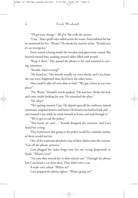"I'll get your change." *All of it.* She took the money.

"Cara." Mac's gruff voice sailed across the room. From behind the bar he motioned for her. "Phone!" He shook the receiver at her. "Kendal says it's an emergency."

Every sound echoing inside the wooden-and-glass room ceased. She hurried toward him, snaking around tables filled with people.

"Keep it short." Mac passed the phone to her and returned to serving customers.

"Kendal, what's wrong?"

"He found us." Her friend's usually icy voice shook, and Cara knew she was more frightened than she'd been the other times.

*How could he after all we've done to hide?* "We got a letter at our new place?"

"No. Worse." Kendal's words quaked. "He was here. Broke the lock and came inside looking for you. He ransacked the place."

"He what?"

"He's getting meaner, Cara. He ripped open all the cushions, turned mattresses, emptied drawers and boxes. He found your leather book and... and insisted I stay while he made himself at home and read through it."

"We've got to call the police."

"You know we can't…" Kendal dropped the sentence, and Cara heard her crying.

They both knew that going to the police would be a mistake neither of them would survive.

One of the waitresses plunked a tray of dirty dishes onto the counter. "Get off the phone, princess."

Cara plugged her index finger into her ear, trying desperately to think. "Where's Lori?"

"I'm sure they moved her to after-school care." Through the phone line Cara heard a car door slam. They didn't own a car.

A male voice asked, "Where to?"

Cara gripped the phone tighter. "What's going on?"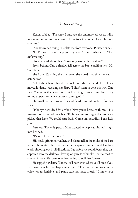Kendal sobbed. "I'm sorry. I can't take this anymore. All we do is live in fear and move from one part of New York to another. He's…he's not after me."

"You know he's trying to isolate me from everyone. Please, Kendal."

"I…I'm sorry. I can't help you anymore," Kendal whispered. "The cab's waiting."

Disbelief settled over her. "How long ago did he break in?"

From behind Cara a shadow fell across the bar, engulfing her. "Hi, Care Bear."

She froze. Watching the silhouette, she noted how tiny she was in comparison.

Mike's thick hand thudded a book onto the bar beside her. He removed his hand, revealing her diary. "I didn't want to do it this way, Care Bear. You know that about me. But I had to get inside your place to try to find answers for why you keep running off."

She swallowed a wave of fear and faced him but couldn't find her voice.

"Johnny's been dead for a while. Now you're here…with me. " His massive body loomed over her. "I'd be willing to forget that you ever picked that loser. We could start fresh. Come on, beautiful, I can help you."

*Help me?* The only person Mike wanted to help was himself—right into her bed.

"Please…leave me alone."

His steely grin unnerved her, and silence fell in the midst of the bar's noise. Thoughts of how to escape him exploded in her mind like fireworks shooting out in all directions. But before she could focus, they disappeared into the darkness, leaving only trails of smoke. Fear seemed to take on its own life form, one threatening to stalk her forever.

He tapped her diary. "I know it all now, even where you'd hide if you ran again, which is *not* happening, right?" The threatening tone in his voice was undeniable, and panic stole her next breath. "I know your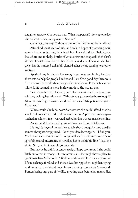daughter just as well as you do now. What happens if I show up one day after school with a puppy named Shamu?"

Cara's legs gave way. Without any effort he held her up by her elbow. After she'd spent years of hide-and-seek in hopes of protecting Lori, now he knew Lori's name, her school, her likes and dislikes. Shaking, she looked around for help. Bottles of various sizes and shapes filled the bar's shelves.The television blared. Blank faces stared at it.The man who had given her the hundred-dollar bill glanced at her before turning to another waitress.

Apathy hung in the air, like smog in summer, reminding her that there was no help for peoplelike her and Lori. On a good day there were distractions that made them forget for a few hours. Even as her mind whirled, life seemed to move in slow motion. She had no one.

"You know how I feel about you." His voice softened to a possessive whisper, making her skin crawl. "Why do you gotta make this so tough?" Mike ran his finger down the side of her neck. "My patience is gone, Care Bear."

Where could she hide now? Somewhere she could afford that he wouldn't know about and couldn't track her to. A piece of a memory washed in colorless fog—wavered before her like a sheet on a clothesline.

An apron. A head covering. An old woman. Rows of tall corn.

He dug his fingers into her biceps. Pain shot through her, and the disjointed thoughts disappeared. "Don't you dare leave again. I'll find you. You know I can...every time." His eyes reflected that familiar mixture of spitefulness and uncertainty as he willed her to do his bidding. "I call the shots. Not you. Not dear old Johnny. Me."

But maybe he didn't. A tender sprig of hope took root. If she could latch on to that memory—if it was even real—she might have a place to go. Somewhere Mike couldn't find her and she wouldn't owe anyone her life in exchange for food and shelter. Doubts rippled through her, trying to dislodge her newfound hope. It was probably a movie she'd watched. Remembering any part of her life, anything true, before her mama died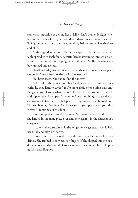seemed as impossible as getting free of Mike. She'd been only eight when her mother was killed by a hit-and-run driver as she crossed a street. Things became so hard after that, anything before seemed like shadows and blurs.

As she begged for answers, faint scenes appeared before her. A kitchen table spread with fresh food. A warm breeze streaming through an unfamiliar window. Sheets flapping on a clothesline. Muffled laughter as a boy jumped into a creek.

Was it just a daydream? Or was it somewhere she'd once been, a place she couldn't reach because she couldn't remember?

Her heart raced. She had to find the answer.

Mike pulled the phone from her hand, a sneer overriding the insecurity he tried hard to cover. "You're more afraid of one thing than anything else. And I know what that is." He eased the receiver into its cradle and flipped the diary open. "If you don't want nothing to cause the social workers to take her..." He tapped his huge finger on a photo of Lori. "Think about it, Care Bear. And I'll see you at your place when your shift is over." He strode out the door.

Cara slumped against the counter. No matter how hard she tried, she landed in the same place over and over again—in the clutches of a crazy man.

In spite of the absurdity of it, shelonged for a cigarette. It would help her think and calm her nerves.

Clasped in her fist was the cash the two men had given for their drinks. She rubbed it between her fingers. If she slipped out the back door, no one at Mac's would have a clue where she went. She could pick up Lori and disappear.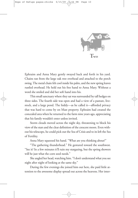

Ephraim and Anna Mary gently swayed back and forth in his yard. Chains ran from the large oak tree overhead and attached to the porch swing.The metal chain felt cool inside his palm, and the new spring leaves rustled overhead. He held out his free hand to Anna Mary. Without a word she smiled and slid her soft hand into his.

This small sanctuary where they sat was surrounded by tall hedges on three sides. The fourth side was open and had a view of a pasture, livestock, and a large pond. The hiddy—as he called it—afforded privacy that was hard to come by on Mast property. Ephraim had created the concealed area when he returned to the farm nine years ago, appreciating that his family wouldn't enter unless invited.

Storm clouds moved across the night sky, threatening to block his view of the stars and the clear definition of the crescent moon. Even without his telescope, he could pick out the Sea of Crisis and to its left the Sea of Fertility.

Anna Mary squeezed his hand. "What are you thinking about?"

"The gathering thunderhead." He gestured toward the southwest. "See it? In a few minutes it'll ruin my stargazing, but the spring showers will be just what the corn seed needs."

She angled her head, watching him. "I don't understand what you see night after night of looking at the same sky."

During the few evenings she joined him out here, she paid little attention to the awesome display spread out across the heavens. Her inter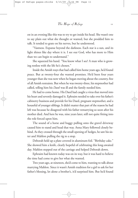est in an evening like this was to try to get inside his head. She wasn't one to say plain out what she thought or wanted, but she prodded him to talk. It tended to grate on his nerves, but he understood.

"Vastness. Expanse beyond the darkness. Each star is a sun, and its light shines like day where it is. I see our God, who has more to Him than we can begin to understand."

She squeezed his hand. "You know what I see? A man who is growing restless with the life he's chosen."

Inside the Amish ways that had called him home years ago, he'd found peace. But at twenty-four she wanted promises. He'd been four years younger than she was now when he began moving about the country, free of all Amish restraints. But when he was twenty-three, his stepmother had called, telling him his *Daed* was ill and the family needed him.

He had to come home. His Daed had caught a virus that moved into his heart and severely damaged it. Ephraim needed to take over his father's cabinetry business and provide for his Daed, pregnant stepmother, and a houseful of younger siblings. It didn't matter that part of the reason he had left was because he disagreed with his father remarrying so soon after his mother died. And here he was, nine years later, still not quite fitting into the role forced upon him.

The sound of a horse and buggy pulling onto the gravel driveway caused him to stand and head that way. Anna Mary followed closely behind. As they crossed through the small opening of hedges, he saw his sister and Mahlon pulling the rig to a stop.

Deborah held up a plate covered in aluminum foil. "Birthday cake." She showed him a knife, clearly hopeful of celebrating this long-awaited day. Mahlon stepped out of the carriage and helped Deborah down.

Ephraim had known today was on its way, but it was hard to believe the time had come to give her what she wanted.

Two years ago, at nineteen, she'd come to him, wanting to talk about marrying Mahlon. Since it wasn't Amish tradition for a girl to ask for her father's blessing, let alone a brother's, it'd surprised him. But he'd found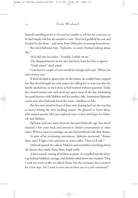himself unwilling to lie to her and yet unable to tell her his concerns, so he had simply told her she needed to wait.Then he'd grabbed his coat and headed for the door…and away from Deborah's mounting frustrations.

But she'd followed him. "Ephraim, we aren't finished talking about this."

He'd slid into his jacket. "Actually, I think we are."

The disappointment in her face had been hard for him to ignore.

"Until when?" she'd asked.

Convinced a couple of years would be enough, he'd said, "When you turn twenty-one."

If she'd decided to ignore him on the matter, he couldn't have stopped her. But she'd thought his only reason for telling her to wait was that the family needed her, so she'd done as he'd wanted without question.Today she turned twenty-one, and she'd just spent most of the day celebrating her good fortune with Mahlon and his mother, Ada. Sometimes Ephraim wasn't sure who Deborah loved the most—Mahlon or Ada.

But his sister stood in front of him now, hoping he'd say she was free to marry during the next wedding season. He glanced to Anna Mary, who waited quietly. Her eyes radiated trust in him and hope for Deborah and Mahlon.

Ephraim had two sisters between his and Deborah's age, but they'd married a few years back and moved to Amish communities in other states. When it came to marriage, no one had interfered with their desires.

In spite of his remaining reservations, Ephraim motioned. "*Kumm* then, and I'll light a fire and brew us some coffee. Then we'll talk."

Deborah passed the cake to Mahlon and mumbled something about the dessert that made Anna Mary laugh softly.

A horn tooted, causing all of them to pause. A car pulled into the driveway behind Mahlon's carriage, and Robbie rolled down the window. "Hey, I took my truck in like we talked about, but the mechanic has to keep it for a few days. Do I need to rent one to drive you to a job tomorrow?"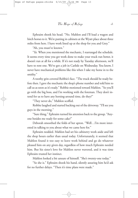Ephraim shook his head. "No. Mahlon and I'll load a wagon and hitch horses to it. We're putting in cabinets at the Wyatt place about three miles from here. I have work lined up at the shop for you and Grey."

"Ah, you must've known."

"*Ya.* When you mentioned the mechanic, I rearranged the schedule. It seems every time you get work done to make your truck run better, it doesn't run at all for a while. If it's not ready by Tuesday afternoon, we'll have to rent one. We've got a job in Carlisle on Wednesday. You know, I never have mechanical problems like this when I take my horse in to the smithy."

A toothy grin covered Robbie's face. "The truck should be ready before then. I gave the mechanic the shop's phone number and told him to call us as soon as it's ready." Robbie motioned toward Mahlon. "So you'll go with the big boss, and I'm working with the foreman. They don't intend for us to have any horsing-around time, do they?"

"They never do," Mahlon scoffed.

Robbie laughed and started backing out of the driveway. "I'll see you guys in the morning."

"Sure thing." Ephraim turned his attention back to the group. "Anyone besides me ready for some cake?"

Deborah smoothed the folds of her apron. "Well…I'm more interested in talking to you about what we came here for."

Ephraim nodded. Mahlon had set his cabinetry work aside and left the shop hours earlier than usual today. Unfortunately, it seemed that Mahlon found it too easy to leave work behind and go do whatever pleased him on any given day, regardless of how much Ephraim needed him. But his sister's love for Mahlon never wavered, and it was time Ephraim trusted her instinct.

Mahlon looked a bit unsure of himself. "She's twenty-one today."

"So she is." Ephraim shook his hand, silently assuring him he'd ask for no further delays. "Then it's time plans were made."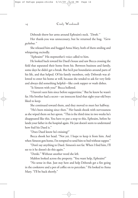Deborah threw her arms around Ephraim's neck. *"Denki."*

Her thank-you was unnecessary, but he returned the hug. *"Gern gschehne."*

Shereleased him and hugged Anna Mary, both of them smiling and whispering excitedly.

"Ephraim?" His stepmother's voice called to him.

He looked back toward his Daed's house and saw Becca crossing the field that separated their home from his. Between business and family, some days he didn't get a break. But he'd put boundaries around parts of his life, and that helped. Of his family members, only Deborah was allowed to enter his home at will, because she tended to ask for very little and always did something helpful—like cook supper or wash dishes.

"Is Simeon with you?" Becca hollered.

"I haven't seen him since before suppertime." But he knew he wasn't far. His brother had a secret—an innocent kind that eight-year-old boys liked to keep.

She continued toward them, and they moved to meet her halfway.

"He's been missing since then." Her hands shook with nervousness as she wiped them on her apron. "This is the third time in two weeks he's disappeared like this. You have to put a stop to this, Ephraim, before he lands your father in the hospital again. He just doesn't seem to understand how frail his Daed is."

"Does Daed know he's missing?"

Becca shook her head. "Not yet. I hope to keep it from him. And when Simeon gets home, I'm tempted to send him to bed without supper."

"Don't say anything to Daed. Simeon's not far. When I find him, I'll see to it he doesn't do this again."

"Denki." Without another word she left.

Mahlon looked across the property. "You want help, Ephraim?"

"No sense in that. Just stay here and help Deborah get a fire going in the cookstove and a pot of coffee on to percolate." Helooked to Anna Mary. "I'll be back shortly."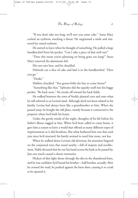"If you don't take too long, we'll save you some cake." Anna Mary cocked an eyebrow, mocking a threat. He suppressed a smile and mirrored her raised eyebrow.

He started to leave when he thought of something. He pulled a large handkerchief from his pocket. "Can I take a piece of that with me?"

"Does this mean you're planning on being gone too long?" Anna Mary removed the aluminum foil.

His eyes met hers, and he chuckled.

Deborah cut a slice of cake and laid it in the handkerchief. "Here you go."

"Denki."

Mahlon chuckled. "You gonna bribe the boy to come home?"

"Something like that." Ephraim slid the squishy stuff into his baggy pocket. "Be back soon." He strode off toward the back fields.

He walked between the rows of freshly planted corn and onto what hestill referred to as Levina's land. Although she'd not been related to his family, Levina had always been like a grandmother to him. When she passed away, he bought the old place, mostly because it connected to the property where he'd built his home.

Under the gentle winds of the night, thoughts of his life before his father's illness nagged at him. When he'd been called to come home, it gave him a reason to leave a world that offered as many different types of imprisonment as it did freedoms. But what bothered him was that each year since he'd returned, his family seemed to need him more, not less.

When he walked down Levina's old driveway, his attention lingered on the conjoined trees that stood nearby—full of majesty and recollections. Habit dictated that herun his hand across the bark as he passed by. Just one touch caused a dozen memories.

Flickers of dim light shone through the slits in the abandoned barn, and he was confident he'd found his brother—half brother, actually. After he crossed the road, he pushed against the barn door, causing it to creak as he opened it.